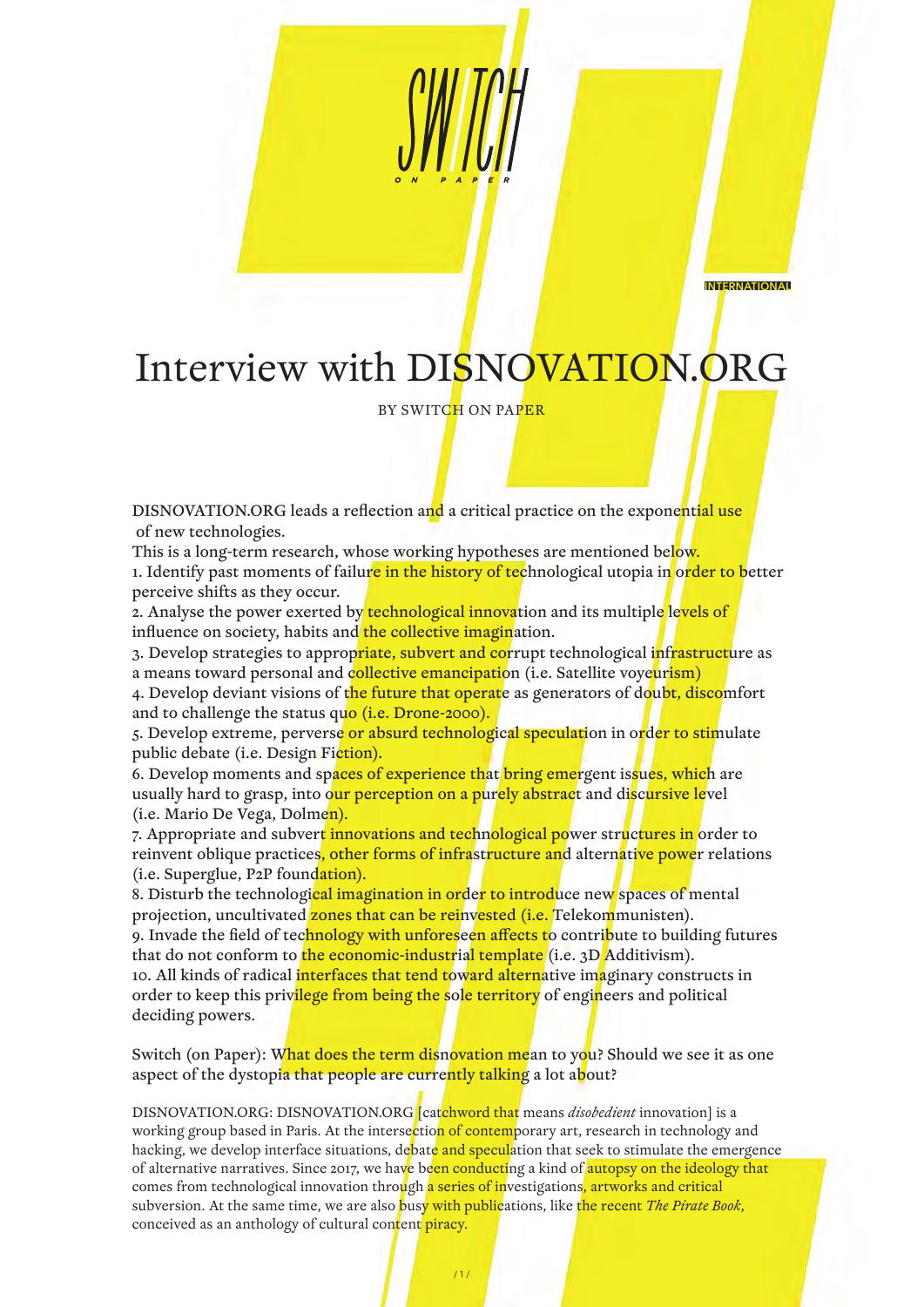INTERNATIONAL

## Interview with DISNOVATION.ORG

BY SWITCH ON PAPER

DISNOVATION.ORG leads a reflection and a critical practice on the exponential use of new technologies.

This is a long-term research, whose working hypotheses are mentioned below. 1. Identify past moments of failure in the history of technological utopia in order to better perceive shifts as they occur.

2. Analyse the power exerted by technological innovation and its multiple levels of influence on society, habits and the collective imagination.

3. Develop strategies to approp<mark>riate, subvert and co</mark>rrupt technological i<mark>nfrastruct</mark>ure as a means toward personal and collective emancipation (i.e. Satellite voyeurism)

4. Develop deviant visions of the future that operate as generators of doubt, discomfort and to challenge the status quo *(i.e. Drone-2000).* 

5. Develop extreme, perverse or absurd technological speculation in order to stimulate public debate (i.e. Design Fiction).

6. Develop moments and spaces of experience that bring emergent issues, which are usually hard to grasp, into our perception on a purely abstract and discursive level (i.e. Mario De Vega, Dolmen).

7. Appropriate and subvert innovations and technological power structures in order to reinvent oblique practices, other forms of infrastructure and alternative power relations (i.e. Superglue, P2P foundation).

8. Disturb the technological imagination in order to introduce new spaces of mental projection, uncultivated zones that can be reinvested (i.e. Telekommunisten).

9. Invade the field of technology with unforeseen affects to contribute to building futures that do not conform to the economic-industrial template (i.e. 3D Additivism).

10. All kinds of radical interfaces that tend toward alternative imaginary constructs in order to keep this privilege from being the sole territory of engineers and political deciding powers.

Switch (on Paper): What does the term disnovation mean to you? Should we see it as one aspect of the dystopia that people are currently talking a lot about?

DISNOVATION.ORG: DISNOVATION.ORG [catchword that means *disobedient* innovation] is a working group based in Paris. At the intersection of contemporary art, research in technology and hacking, we develop interface situations, debate and speculation that seek to stimulate the emergence of alternative narratives. Since 2017, we have been conducting a kind of autopsy on the ideology that comes from technological innovation through a series of investigations, artworks and critical subversion. At the same time, we are also busy with publications, like the recent *The Pirate Book*, conceived as an anthology of cultural content piracy.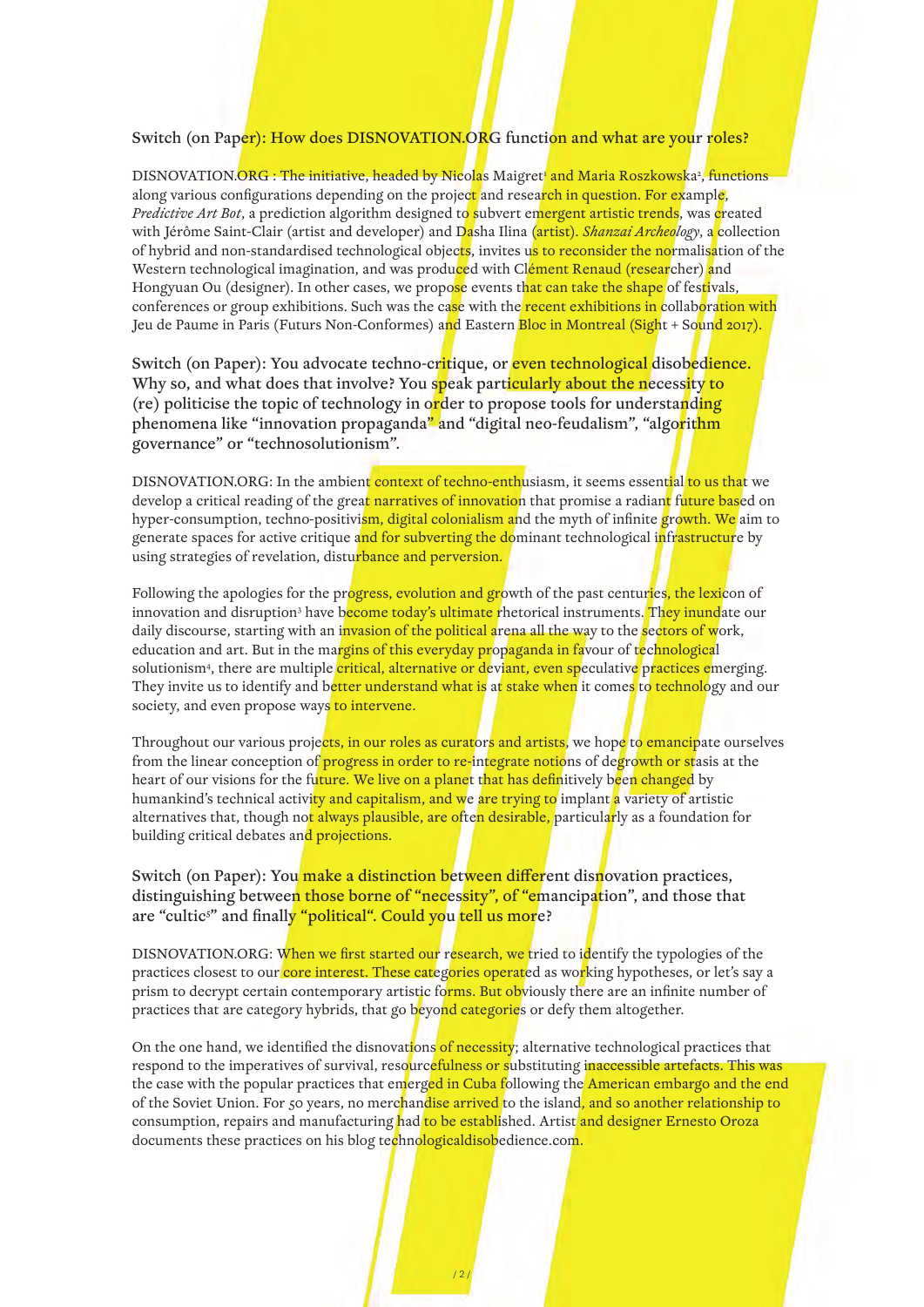## Switch (on Paper): How does DISNOVATION.ORG function and what are your roles?

DISNOVATION.ORG : The initiative, headed by Nicolas Maigret' and Maria Roszkowska?, functions along various configurations depending on the project and research in question. For example, *Predictive Art Bot*, a prediction algorithm designed to subvert emergent artistic trends, was created with Jérôme Saint-Clair (artist and developer) and Dasha Ilina (artist). *Shanzai Archeology*, a collection of hybrid and non-standardised technological objects, invites us to reconsider the normalisation of the Western technological imagination, and was produced with Clément Renaud (researcher) and Hongyuan Ou (designer). In other cases, we propose events that can take the shape of festivals, conferences or group exhibitions. Such was the case with the recent exhibitions in collaboration with Jeu de Paume in Paris (Futurs Non-Conformes) and Eastern Bloc in Montreal (Sight + Sound 2017).

Switch (on Paper): You advocate techno-critique, or even technological disobedience. Why so, and what does that involve? You speak particularly about the necessity to (re) politicise the topic of technology in order to propose tools for understanding phenomena like "innovation propaganda" and "digital neo-feudalism", "algorithm governance" or "technosolutionism".

DISNOVATION.ORG: In the ambient context of techno-enthusiasm, it seems essential to us that we develop a critical reading of the grea<mark>t narratives of innovatio</mark>n that promise a radian<mark>t</mark> future based on hyper-consumption, techno-positivism, digital colonialism and the myth of infinite growth. We aim to generate spaces for active critique and for subverting the dominant technological infrastructure by using strategies of revelation, disturbance and perversion.

Following the apologies for the progress, evolution and growth of the past centuries, the lexicon of innovation and disruption<sup>3</sup> have b<mark>ecome today's ultimate r</mark>hetorical instruments. <mark>They inund</mark>ate our daily discourse, starting with an invasion of the political arena all the way to the sectors of work, education and art. But in the margins of this everyday propaganda in favour of technological solutionism<sup>4</sup>, there are multiple <mark>critical, alternative or d</mark>eviant, even speculative practices emerging. They invite us to identify and better understand what is at stake when it comes to technology and our society, and even propose ways to intervene.

Throughout our various projects, in our roles as curators and artists, we hope to emancipate ourselves from the linear conception of progress in order to re-integrate notions of degrowth or stasis at the heart of our visions for the future. We live on a planet that has definitively been changed by humankind's technical activity and capitalism, and we are trying to implant a variety of artistic alternatives that, though not always plausible, are often desirable, particularly as a foundation for building critical debates and projections.

## Switch (on Paper): You make a distinction between different disnovation practices, distinguishing between those borne of "necessity", of "emancipation", and those that are "cultic<sup>s</sup>" and finally "political". Could you <mark>tell us mor</mark>e?

DISNOVATION.ORG: When we first started our research, we tried to identify the typologies of the practices closest to our core interest. These categories operated as working hypotheses, or let's say a prism to decrypt certain contemporary artistic forms. But obviously there are an infinite number of practices that are category hybrids, that go beyond categories or defy them altogether.

On the one hand, we identified the disnovations of necessity; alternative technological practices that respond to the imperatives of survival, resourcefulness or substituting inaccessible artefacts. This was the case with the popular practices that emerged in Cuba following the American embargo and the end of the Soviet Union. For 50 years, no merchandise arrived to the island, and so another relationship to consumption, repairs and manufacturing had to be established. Artist and designer Ernesto Oroza documents these practices on his blog technologicaldisobedience.com.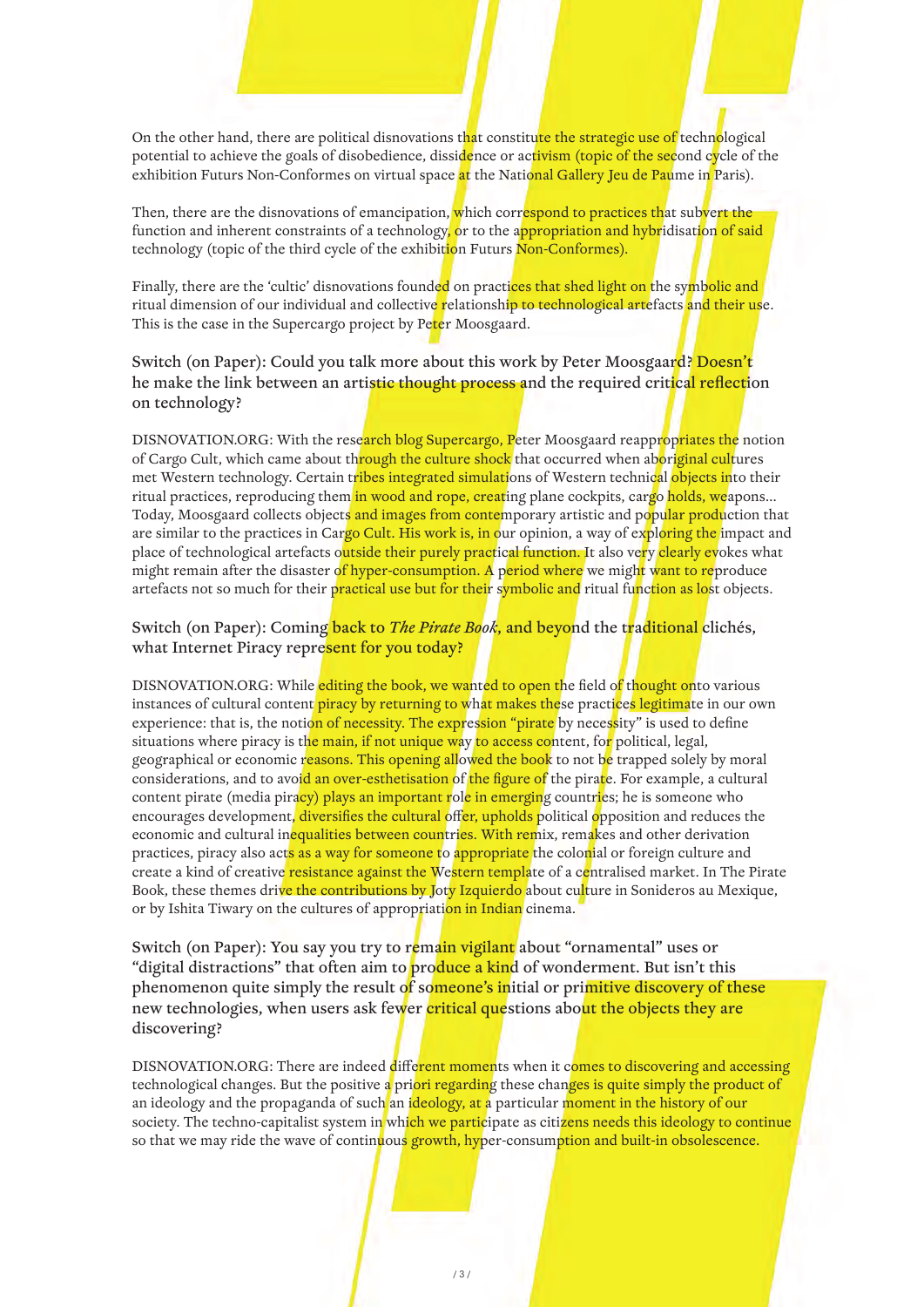On the other hand, there are political disnovations that constitute the strategic use of technological potential to achieve the goals of disobedience, dissidence or activism (topic of the second cycle of the exhibition Futurs Non-Conformes on virtual space at the National Gallery Jeu de Paume in Paris).

Then, there are the disnovations of emancipation, which correspond to practices that subvert the function and inherent constraints of a technology, or to the appropriation and hybridisation of said technology (topic of the third cycle of the exhibition Futurs Non-Conformes).

Finally, there are the 'cultic' disnovations founded on practices that shed light on the symbolic and ritual dimension of our individual and collective relationship to technological artefacts and their use. This is the case in the Supercargo project by Peter Moosgaard.

Switch (on Paper): Could you talk more about this work by Peter Moosgaard? Doesn't he make the link between an artistic thought process and the required critical reflection on technology?

DISNOVATION.ORG: With the research blog Supercargo, Peter Moosgaard reappropriates the notion of Cargo Cult, which came about through the culture shock that occurred when aboriginal cultures met Western technology. Certain tribes integrated simulations of Western technical objects into their ritual practices, reproducing them in wood and rope, creating plane cockpits, cargo holds, weapons... Today, Moosgaard collects objects and images from contemporary artistic and popular production that are similar to the practices in Cargo Cult. His work is, in our opinion, a way of exploring the impact and place of technological artefacts outside their purely practical function. It also very clearly evokes what might remain after the disaster of hyper-consumption. A period where we might want to reproduce artefacts not so much for their practical use but for their symbolic and ritual function as lost objects.

## Switch (on Paper): Coming back to *The Pirate Book*, and beyond the traditional clichés, what Internet Piracy represent for you today?

DISNOVATION.ORG: While editing the book, we wanted to open the field of thought onto various instances of cultural content piracy by returning to what makes these practices legitimate in our own experience: that is, the notion of necessity. The expression "pirate by necessity" is used to define situations where piracy is the main, if not unique way to access content, for political, legal, geographical or economic reasons. This opening allowed the book to not be trapped solely by moral considerations, and to avoid an over-esthetisation of the figure of the pirate. For example, a cultural content pirate (media piracy) plays an important role in emerging countries; he is someone who encourages development, diversifies the cultural offer, upholds political opposition and reduces the economic and cultural inequalities between countries. With remix, remakes and other derivation practices, piracy also acts as a way for someone to appropriate the colonial or foreign culture and create a kind of creative resistance against the Western template of a centralised market. In The Pirate Book, these themes drive the contributions by Joty Izquierdo about culture in Sonideros au Mexique, or by Ishita Tiwary on the cultures of appropriation in Indian cinema.

Switch (on Paper): You say you try to remain vigilant about "ornamental" uses or "digital distractions" that often aim to produce a kind of wonderment. But isn't this phenomenon quite simply the result of someone's initial or primitive discovery of these new technologies, when users ask fewer critical questions about the objects they are discovering?

DISNOVATION.ORG: There are indeed different moments when it comes to discovering and accessing technological changes. But the positive a priori regarding these changes is quite simply the product of an ideology and the propaganda of such an ideology, at a particular moment in the history of our society. The techno-capitalist system in which we participate as citizens needs this ideology to continue so that we may ride the wave of continuous growth, hyper-consumption and built-in obsolescence.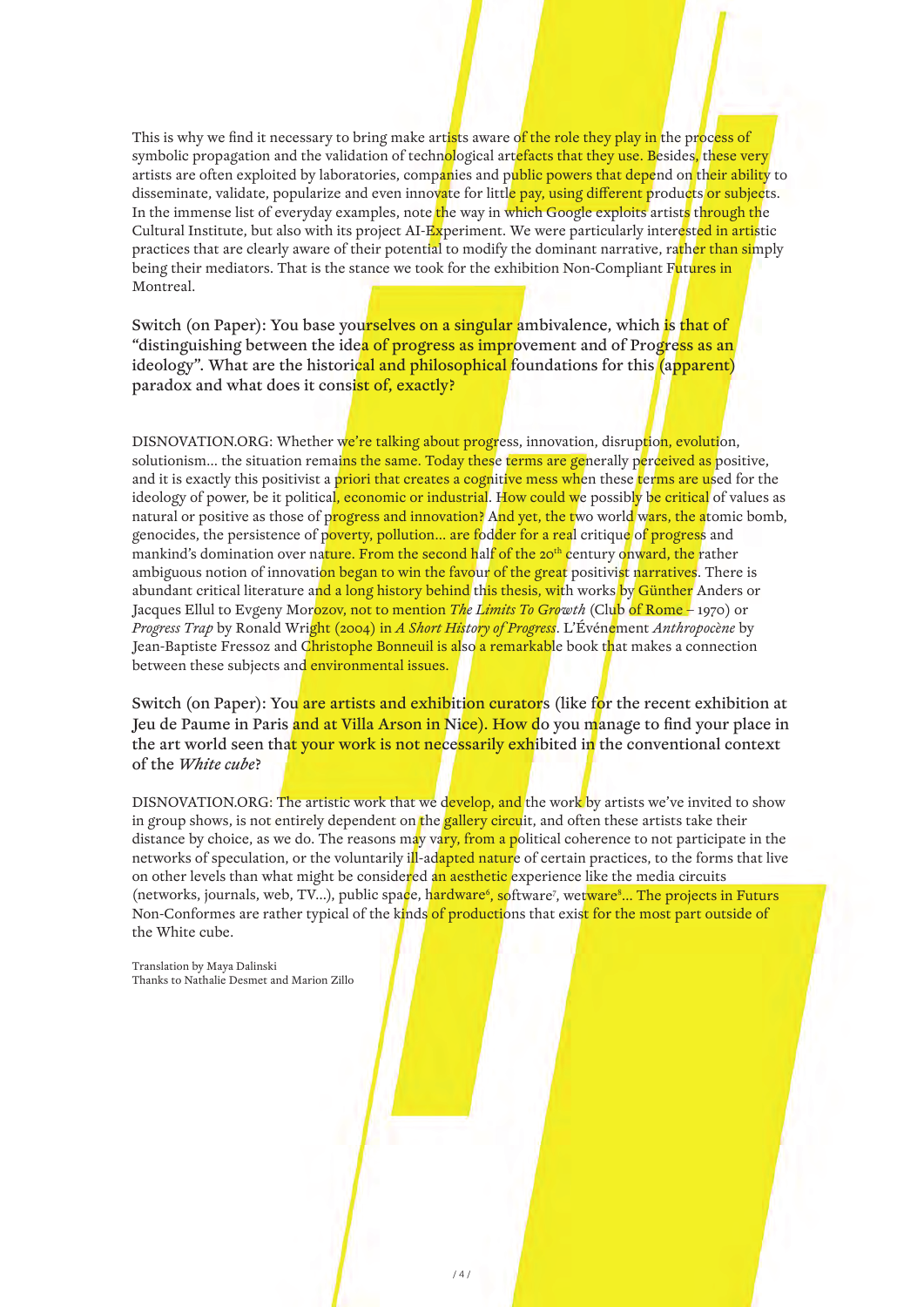This is why we find it necessary to bring make artists aware of the role they play in the process of symbolic propagation and the validation of technological artefacts that they use. Besides, these very artists are often exploited by laboratories, companies and public powers that depend on their ability to disseminate, validate, popularize and even innovate for little pay, using different products or subjects. In the immense list of everyday examples, note the way in which Google exploits artists through the Cultural Institute, but also with its project AI-Experiment. We were particularly interested in artistic practices that are clearly aware of their potential to modify the dominant narrative, rather than simply being their mediators. That is the stance we took for the exhibition Non-Compliant Futures in Montreal.

Switch (on Paper): You base yourselves on a singular ambivalence, which is that of "distinguishing between the idea of progress as improvement and of Progress as an ideology". What are the historical and philosophical foundations for this (apparent) paradox and what does it consist of, exactly?

DISNOVATION.ORG: Whether we're talking about progress, innovation, disruption, evolution, solutionism... the situation remains the same. Today these terms are generally perceived as positive, and it is exactly this positivist a priori that creates a cognitive mess when these terms are used for the ideology of power, be it political, economic or industrial. How could we possibly be critical of values as natural or positive as those of progress and innovation? And yet, the two world wars, the atomic bomb, genocides, the persistence of poverty, pollution... are fodder for a real critique of progress and mankind's domination over nature. From the second half of the 20<sup>th</sup> century onward, the rather ambiguous notion of innovati<mark>on began to win the favo</mark>ur of the great positivist narratives. There is abundant critical literature and a long history behind this thesis, with works by Günther Anders or Jacques Ellul to Evgeny Morozov, not to mention *The Limits To Growth* (Club of Rome – 1970) or *Progress Trap* by Ronald Wright (2004) in *A Short History of Progress*. L'Événement *Anthropocène* by Jean-Baptiste Fressoz and C<mark>hristophe Bonneuil is al</mark>so a remarkable book that makes a connection between these subjects and environmental issues.

Switch (on Paper): You are artists and exhibition curators (like for the recent exhibition at Jeu de Paume in Paris and at Villa Arson in Nice). How do you manage to find your place in the art world seen that your work is not necessarily exhibited in the conventional context of the *White cube*?

DISNOVATION.ORG: The artistic work that we develop, and the work by artists we've invited to show in group shows, is not entirely dependent on the gallery circuit, and often these artists take their distance by choice, as we do. The reasons may vary, from a political coherence to not participate in the networks of speculation, or the voluntarily ill-adapted nature of certain practices, to the forms that live on other levels than what might be considered an aesthetic experience like the media circuits (networks, journals, web, TV...), public space, hardware<sup>6</sup>, software<sup>7</sup>, wetware<sup>8</sup>... The projects in Futurs Non-Conformes are rather typical of the kinds of productions that exist for the most part outside of the White cube.

Translation by Maya Dalinski Thanks to Nathalie Desmet and Marion Zillo